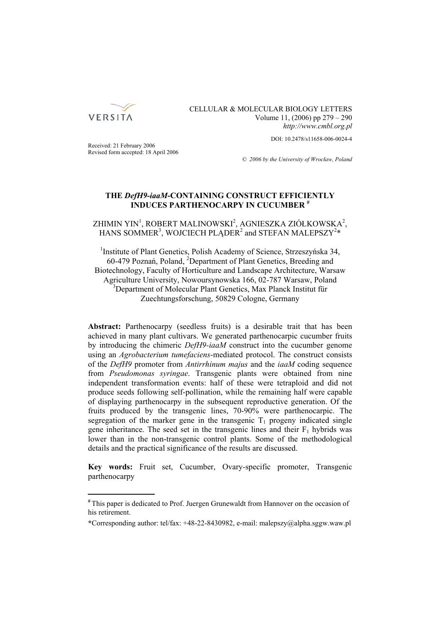

# CELLULAR & MOLECULAR BIOLOGY LETTERS Volume 11, (2006) pp 279 – 290 *http://www.cmbl.org.pl*

DOI: 10.2478/s11658-006-0024-4

Received: 21 February 2006 Revised form accepted: 18 April 2006

*© 2006 by the University of Wrocław, Poland*

# **THE** *DefH9-iaaM***-CONTAINING CONSTRUCT EFFICIENTLY INDUCES PARTHENOCARPY IN CUCUMBER #**

ZHIMIN YIN<sup>1</sup>, ROBERT MALINOWSKI<sup>2</sup>, AGNIESZKA ZIÓŁKOWSKA<sup>2</sup>, HANS SOMMER<sup>3</sup>, WOJCIECH PLĄDER<sup>2</sup> and STEFAN MALEPSZY<sup>2\*</sup>

<sup>1</sup>Institute of Plant Genetics, Polish Academy of Science, Strzeszyńska 34, 60-479 Poznań, Poland, <sup>2</sup> Department of Plant Genetics, Breeding and Biotechnology, Faculty of Horticulture and Landscape Architecture, Warsaw Agriculture University, Nowoursynowska 166, 02-787 Warsaw, Poland 3 Department of Molecular Plant Genetics, Max Planck Institut für Zuechtungsforschung, 50829 Cologne, Germany

**Abstract:** Parthenocarpy (seedless fruits) is a desirable trait that has been achieved in many plant cultivars. We generated parthenocarpic cucumber fruits by introducing the chimeric *DefH9-iaaM* construct into the cucumber genome using an *Agrobacterium tumefaciens*-mediated protocol. The construct consists of the *DefH9* promoter from *Antirrhinum majus* and the *iaaM* coding sequence from *Pseudomonas syringae*. Transgenic plants were obtained from nine independent transformation events: half of these were tetraploid and did not produce seeds following self-pollination, while the remaining half were capable of displaying parthenocarpy in the subsequent reproductive generation. Of the fruits produced by the transgenic lines, 70-90% were parthenocarpic. The segregation of the marker gene in the transgenic  $T_1$  progeny indicated single gene inheritance. The seed set in the transgenic lines and their  $F_1$  hybrids was lower than in the non-transgenic control plants. Some of the methodological details and the practical significance of the results are discussed.

**Key words:** Fruit set, Cucumber, Ovary-specific promoter, Transgenic parthenocarpy

**<sup>#</sup>** This paper is dedicated to Prof. Juergen Grunewaldt from Hannover on the occasion of his retirement.

**<sup>\*</sup>**Corresponding author: tel/fax: +48-22-8430982, e-mail: malepszy@alpha.sggw.waw.pl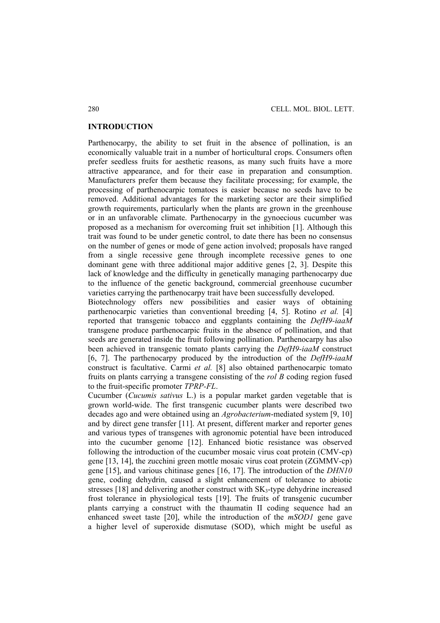### **INTRODUCTION**

Parthenocarpy, the ability to set fruit in the absence of pollination, is an economically valuable trait in a number of horticultural crops. Consumers often prefer seedless fruits for aesthetic reasons, as many such fruits have a more attractive appearance, and for their ease in preparation and consumption. Manufacturers prefer them because they facilitate processing; for example, the processing of parthenocarpic tomatoes is easier because no seeds have to be removed. Additional advantages for the marketing sector are their simplified growth requirements, particularly when the plants are grown in the greenhouse or in an unfavorable climate. Parthenocarpy in the gynoecious cucumber was proposed as a mechanism for overcoming fruit set inhibition [1]. Although this trait was found to be under genetic control, to date there has been no consensus on the number of genes or mode of gene action involved; proposals have ranged from a single recessive gene through incomplete recessive genes to one dominant gene with three additional major additive genes [2, 3]. Despite this lack of knowledge and the difficulty in genetically managing parthenocarpy due to the influence of the genetic background, commercial greenhouse cucumber varieties carrying the parthenocarpy trait have been successfully developed.

Biotechnology offers new possibilities and easier ways of obtaining parthenocarpic varieties than conventional breeding [4, 5]. Rotino *et al.* [4] reported that transgenic tobacco and eggplants containing the *DefH9-iaaM* transgene produce parthenocarpic fruits in the absence of pollination, and that seeds are generated inside the fruit following pollination. Parthenocarpy has also been achieved in transgenic tomato plants carrying the *DefH9-iaaM* construct [6, 7]. The parthenocarpy produced by the introduction of the *DefH9-iaaM*  construct is facultative. Carmi *et al.* [8] also obtained parthenocarpic tomato fruits on plants carrying a transgene consisting of the *rol B* coding region fused to the fruit-specific promoter *TPRP-FL*.

Cucumber (*Cucumis sativus* L.) is a popular market garden vegetable that is grown world-wide. The first transgenic cucumber plants were described two decades ago and were obtained using an *Agrobacterium*-mediated system [9, 10] and by direct gene transfer [11]. At present, different marker and reporter genes and various types of transgenes with agronomic potential have been introduced into the cucumber genome [12]. Enhanced biotic resistance was observed following the introduction of the cucumber mosaic virus coat protein (CMV-cp) gene [13, 14], the zucchini green mottle mosaic virus coat protein (ZGMMV-cp) gene [15], and various chitinase genes [16, 17]. The introduction of the *DHN10* gene, coding dehydrin, caused a slight enhancement of tolerance to abiotic stresses [18] and delivering another construct with  $SK_3$ -type dehydrine increased frost tolerance in physiological tests [19]. The fruits of transgenic cucumber plants carrying a construct with the thaumatin II coding sequence had an enhanced sweet taste [20], while the introduction of the *mSOD1* gene gave a higher level of superoxide dismutase (SOD), which might be useful as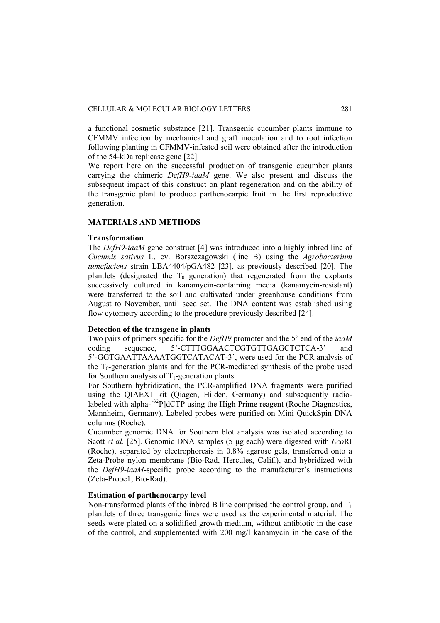a functional cosmetic substance [21]. Transgenic cucumber plants immune to CFMMV infection by mechanical and graft inoculation and to root infection following planting in CFMMV-infested soil were obtained after the introduction of the 54-kDa replicase gene [22]

We report here on the successful production of transgenic cucumber plants carrying the chimeric *DefH9-iaaM* gene. We also present and discuss the subsequent impact of this construct on plant regeneration and on the ability of the transgenic plant to produce parthenocarpic fruit in the first reproductive generation.

## **MATERIALS AND METHODS**

### **Transformation**

The *DefH9-iaaM* gene construct [4] was introduced into a highly inbred line of *Cucumis sativus* L. cv. Borszczagowski (line B) using the *Agrobacterium tumefaciens* strain LBA4404/pGA482 [23], as previously described [20]. The plantlets (designated the  $T_0$  generation) that regenerated from the explants successively cultured in kanamycin-containing media (kanamycin-resistant) were transferred to the soil and cultivated under greenhouse conditions from August to November, until seed set. The DNA content was established using flow cytometry according to the procedure previously described [24].

### **Detection of the transgene in plants**

Two pairs of primers specific for the *DefH9* promoter and the 5' end of the *iaaM* coding sequence, 5'-CTTTGGAACTCGTGTTGAGCTCTCA-3' and 5'-GGTGAATTAAAATGGTCATACAT-3', were used for the PCR analysis of the  $T_0$ -generation plants and for the PCR-mediated synthesis of the probe used for Southern analysis of  $T_1$ -generation plants.

For Southern hybridization, the PCR-amplified DNA fragments were purified using the QIAEX1 kit (Qiagen, Hilden, Germany) and subsequently radiolabeled with alpha- $\left[3^{32}P\right]$ dCTP using the High Prime reagent (Roche Diagnostics, Mannheim, Germany). Labeled probes were purified on Mini QuickSpin DNA columns (Roche).

Cucumber genomic DNA for Southern blot analysis was isolated according to Scott *et al.* [25]. Genomic DNA samples (5 μg each) were digested with *Eco*RI (Roche), separated by electrophoresis in 0.8% agarose gels, transferred onto a Zeta-Probe nylon membrane (Bio-Rad, Hercules, Calif.), and hybridized with the *DefH9-iaaM*-specific probe according to the manufacturer's instructions (Zeta-Probe1; Bio-Rad).

## **Estimation of parthenocarpy level**

Non-transformed plants of the inbred B line comprised the control group, and  $T_1$ plantlets of three transgenic lines were used as the experimental material. The seeds were plated on a solidified growth medium, without antibiotic in the case of the control, and supplemented with 200 mg/l kanamycin in the case of the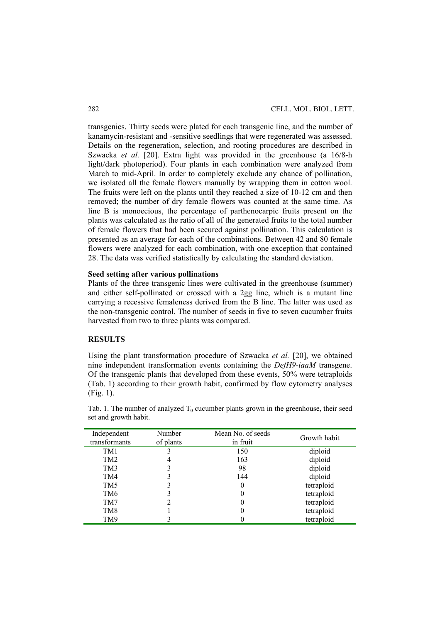transgenics. Thirty seeds were plated for each transgenic line, and the number of kanamycin-resistant and -sensitive seedlings that were regenerated was assessed. Details on the regeneration, selection, and rooting procedures are described in Szwacka *et al.* [20]. Extra light was provided in the greenhouse (a 16/8-h light/dark photoperiod). Four plants in each combination were analyzed from March to mid-April. In order to completely exclude any chance of pollination, we isolated all the female flowers manually by wrapping them in cotton wool. The fruits were left on the plants until they reached a size of 10-12 cm and then removed; the number of dry female flowers was counted at the same time. As line B is monoecious, the percentage of parthenocarpic fruits present on the plants was calculated as the ratio of all of the generated fruits to the total number of female flowers that had been secured against pollination. This calculation is presented as an average for each of the combinations. Between 42 and 80 female flowers were analyzed for each combination, with one exception that contained 28. The data was verified statistically by calculating the standard deviation.

### **Seed setting after various pollinations**

Plants of the three transgenic lines were cultivated in the greenhouse (summer) and either self-pollinated or crossed with a 2gg line, which is a mutant line carrying a recessive femaleness derived from the B line. The latter was used as the non-transgenic control. The number of seeds in five to seven cucumber fruits harvested from two to three plants was compared.

# **RESULTS**

Using the plant transformation procedure of Szwacka *et al.* [20], we obtained nine independent transformation events containing the *DefH9-iaaM* transgene. Of the transgenic plants that developed from these events, 50% were tetraploids (Tab. 1) according to their growth habit, confirmed by flow cytometry analyses (Fig. 1).

| Independent<br>transformants | Number<br>of plants | Mean No. of seeds<br>in fruit | Growth habit |
|------------------------------|---------------------|-------------------------------|--------------|
| TM1                          |                     | 150                           | diploid      |
| TM <sub>2</sub>              | 4                   | 163                           | diploid      |
| TM3                          |                     | 98                            | diploid      |
| TM4                          |                     | 144                           | diploid      |
| TM <sub>5</sub>              |                     | $\theta$                      | tetraploid   |
| TM6                          |                     | $\theta$                      | tetraploid   |
| TM7                          |                     |                               | tetraploid   |
| TM8                          |                     |                               | tetraploid   |
| TM9                          |                     |                               | tetraploid   |

Tab. 1. The number of analyzed  $T_0$  cucumber plants grown in the greenhouse, their seed set and growth habit.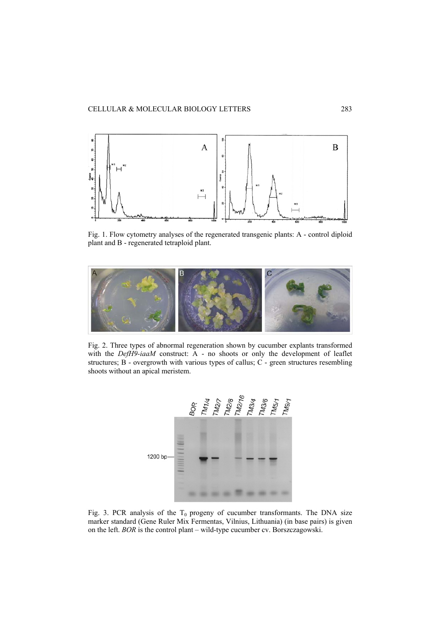

Fig. 1. Flow cytometry analyses of the regenerated transgenic plants: A - control diploid plant and B - regenerated tetraploid plant.



Fig. 2. Three types of abnormal regeneration shown by cucumber explants transformed with the *DefH9-iaaM* construct: A - no shoots or only the development of leaflet structures; B - overgrowth with various types of callus; C - green structures resembling shoots without an apical meristem.



Fig. 3. PCR analysis of the  $T_0$  progeny of cucumber transformants. The DNA size marker standard (Gene Ruler Mix Fermentas, Vilnius, Lithuania) (in base pairs) is given on the left. *BOR* is the control plant – wild-type cucumber cv. Borszczagowski.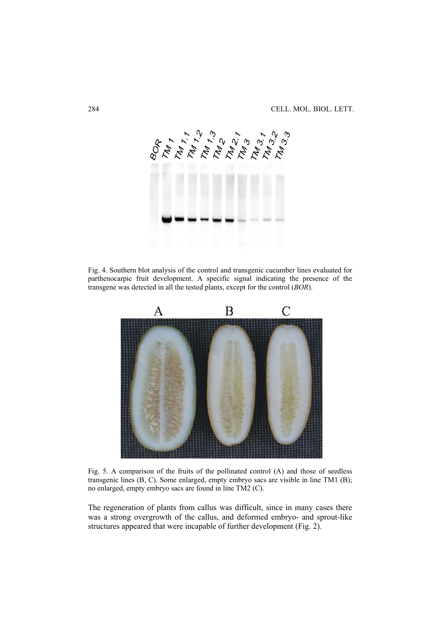

Fig. 4. Southern blot analysis of the control and transgenic cucumber lines evaluated for parthenocarpic fruit development. A specific signal indicating the presence of the transgene was detected in all the tested plants, except for the control (*BOR*).



Fig. 5. A comparison of the fruits of the pollinated control (A) and those of seedless transgenic lines (B, C). Some enlarged, empty embryo sacs are visible in line TM1 (B); no enlarged, empty embryo sacs are found in line TM2 (C).

The regeneration of plants from callus was difficult, since in many cases there was a strong overgrowth of the callus, and deformed embryo- and sprout-like structures appeared that were incapable of further development (Fig. 2).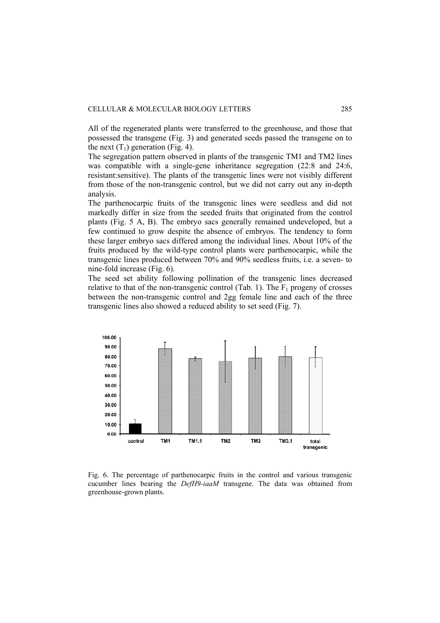All of the regenerated plants were transferred to the greenhouse, and those that possessed the transgene (Fig. 3) and generated seeds passed the transgene on to the next  $(T_1)$  generation (Fig. 4).

The segregation pattern observed in plants of the transgenic TM1 and TM2 lines was compatible with a single-gene inheritance segregation (22:8 and 24:6, resistant:sensitive). The plants of the transgenic lines were not visibly different from those of the non-transgenic control, but we did not carry out any in-depth analysis.

The parthenocarpic fruits of the transgenic lines were seedless and did not markedly differ in size from the seeded fruits that originated from the control plants (Fig. 5 A, B). The embryo sacs generally remained undeveloped, but a few continued to grow despite the absence of embryos. The tendency to form these larger embryo sacs differed among the individual lines. About 10% of the fruits produced by the wild-type control plants were parthenocarpic, while the transgenic lines produced between 70% and 90% seedless fruits, i.e. a seven- to nine-fold increase (Fig. 6).

The seed set ability following pollination of the transgenic lines decreased relative to that of the non-transgenic control (Tab. 1). The  $F_1$  progeny of crosses between the non-transgenic control and 2gg female line and each of the three transgenic lines also showed a reduced ability to set seed (Fig. 7).



Fig. 6. The percentage of parthenocarpic fruits in the control and various transgenic cucumber lines bearing the *DefH9-iaaM* transgene. The data was obtained from greenhouse-grown plants.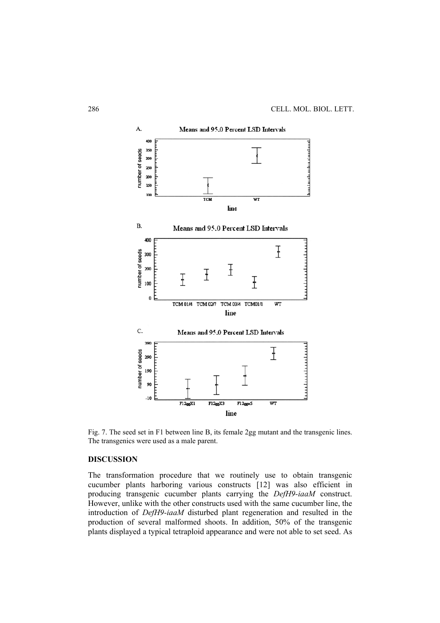

Fig. 7. The seed set in F1 between line B, its female 2gg mutant and the transgenic lines. The transgenics were used as a male parent.

## **DISCUSSION**

The transformation procedure that we routinely use to obtain transgenic cucumber plants harboring various constructs [12] was also efficient in producing transgenic cucumber plants carrying the *DefH9-iaaM* construct. However, unlike with the other constructs used with the same cucumber line, the introduction of *DefH9-iaaM* disturbed plant regeneration and resulted in the production of several malformed shoots. In addition, 50% of the transgenic plants displayed a typical tetraploid appearance and were not able to set seed. As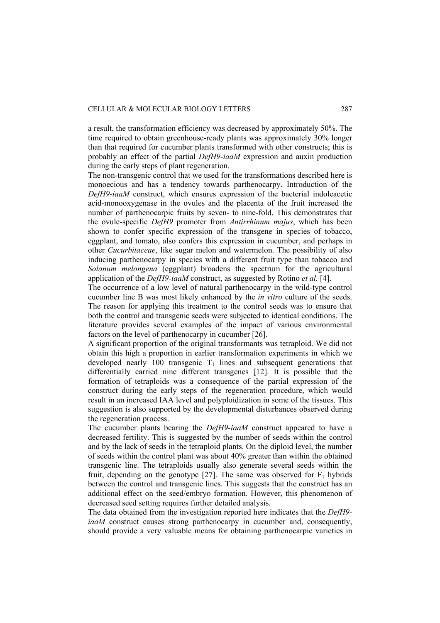a result, the transformation efficiency was decreased by approximately 50%. The time required to obtain greenhouse-ready plants was approximately 30% longer than that required for cucumber plants transformed with other constructs; this is probably an effect of the partial *DefH9-iaaM* expression and auxin production during the early steps of plant regeneration.

The non-transgenic control that we used for the transformations described here is monoecious and has a tendency towards parthenocarpy. Introduction of the *DefH9-iaaM* construct, which ensures expression of the bacterial indoleacetic acid-monooxygenase in the ovules and the placenta of the fruit increased the number of parthenocarpic fruits by seven- to nine-fold. This demonstrates that the ovule-specific *DefH9* promoter from *Antirrhinum majus*, which has been shown to confer specific expression of the transgene in species of tobacco, eggplant, and tomato, also confers this expression in cucumber, and perhaps in other *Cucurbitaceae*, like sugar melon and watermelon. The possibility of also inducing parthenocarpy in species with a different fruit type than tobacco and *Solanum melongena* (eggplant) broadens the spectrum for the agricultural application of the *DefH9-iaaM* construct, as suggested by Rotino *et al.* [4].

The occurrence of a low level of natural parthenocarpy in the wild-type control cucumber line B was most likely enhanced by the *in vitro* culture of the seeds. The reason for applying this treatment to the control seeds was to ensure that both the control and transgenic seeds were subjected to identical conditions. The literature provides several examples of the impact of various environmental factors on the level of parthenocarpy in cucumber [26].

A significant proportion of the original transformants was tetraploid. We did not obtain this high a proportion in earlier transformation experiments in which we developed nearly  $100$  transgenic  $T_1$  lines and subsequent generations that differentially carried nine different transgenes [12]. It is possible that the formation of tetraploids was a consequence of the partial expression of the construct during the early steps of the regeneration procedure, which would result in an increased IAA level and polyploidization in some of the tissues. This suggestion is also supported by the developmental disturbances observed during the regeneration process.

The cucumber plants bearing the *DefH9-iaaM* construct appeared to have a decreased fertility. This is suggested by the number of seeds within the control and by the lack of seeds in the tetraploid plants. On the diploid level, the number of seeds within the control plant was about 40% greater than within the obtained transgenic line. The tetraploids usually also generate several seeds within the fruit, depending on the genotype [27]. The same was observed for  $F_1$  hybrids between the control and transgenic lines. This suggests that the construct has an additional effect on the seed/embryo formation. However, this phenomenon of decreased seed setting requires further detailed analysis.

The data obtained from the investigation reported here indicates that the *DefH9 iaaM* construct causes strong parthenocarpy in cucumber and, consequently, should provide a very valuable means for obtaining parthenocarpic varieties in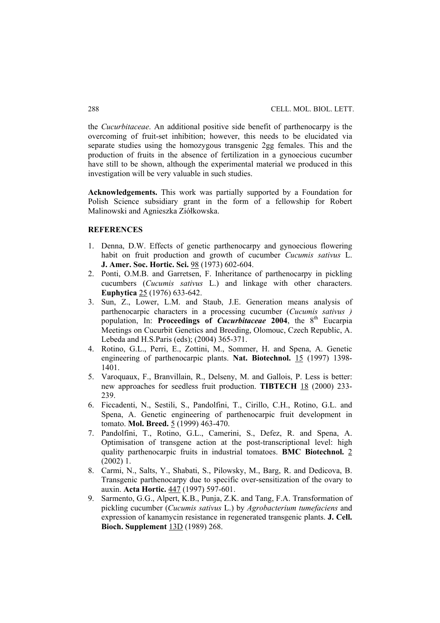the *Cucurbitaceae*. An additional positive side benefit of parthenocarpy is the overcoming of fruit-set inhibition; however, this needs to be elucidated via separate studies using the homozygous transgenic 2gg females. This and the production of fruits in the absence of fertilization in a gynoecious cucumber have still to be shown, although the experimental material we produced in this investigation will be very valuable in such studies.

**Acknowledgements.** This work was partially supported by a Foundation for Polish Science subsidiary grant in the form of a fellowship for Robert Malinowski and Agnieszka Ziółkowska.

## **REFERENCES**

- 1. Denna, D.W. Effects of genetic parthenocarpy and gynoecious flowering habit on fruit production and growth of cucumber *Cucumis sativus* L. **J. Amer. Soc. Hortic. Sci.** 98 (1973) 602-604.
- 2. Ponti, O.M.B. and Garretsen, F. Inheritance of parthenocarpy in pickling cucumbers (*Cucumis sativus* L.) and linkage with other characters. **Euphytica** 25 (1976) 633-642.
- 3. Sun, Z., Lower, L.M. and Staub, J.E. Generation means analysis of parthenocarpic characters in a processing cucumber (*Cucumis sativus )* population, In: **Proceedings of** *Cucurbitaceae* 2004, the 8<sup>th</sup> Eucarpia Meetings on Cucurbit Genetics and Breeding, Olomouc, Czech Republic, A. Lebeda and H.S.Paris (eds); (2004) 365-371.
- 4. Rotino, G.L., Perri, E., Zottini, M., Sommer, H. and Spena, A. Genetic engineering of parthenocarpic plants. **Nat. Biotechnol.** 15 (1997) 1398- 1401.
- 5. Varoquaux, F., Branvillain, R., Delseny, M. and Gallois, P. Less is better: new approaches for seedless fruit production. **TIBTECH** 18 (2000) 233- 239.
- 6. Ficcadenti, N., Sestili, S., Pandolfini, T., Cirillo, C.H., Rotino, G.L. and Spena, A. Genetic engineering of parthenocarpic fruit development in tomato. **Mol. Breed.** 5 (1999) 463-470.
- 7. Pandolfini, T., Rotino, G.L., Camerini, S., Defez, R. and Spena, A. Optimisation of transgene action at the post-transcriptional level: high quality parthenocarpic fruits in industrial tomatoes. **BMC Biotechnol.** 2  $(2002)$  1.
- 8. Carmi, N., Salts, Y., Shabati, S., Pilowsky, M., Barg, R. and Dedicova, B. Transgenic parthenocarpy due to specific over-sensitization of the ovary to auxin. **Acta Hortic.** 447 (1997) 597-601.
- 9. Sarmento, G.G., Alpert, K.B., Punja, Z.K. and Tang, F.A. Transformation of pickling cucumber (*Cucumis sativus* L.) by *Agrobacterium tumefaciens* and expression of kanamycin resistance in regenerated transgenic plants. **J. Cell. Bioch. Supplement** 13D (1989) 268.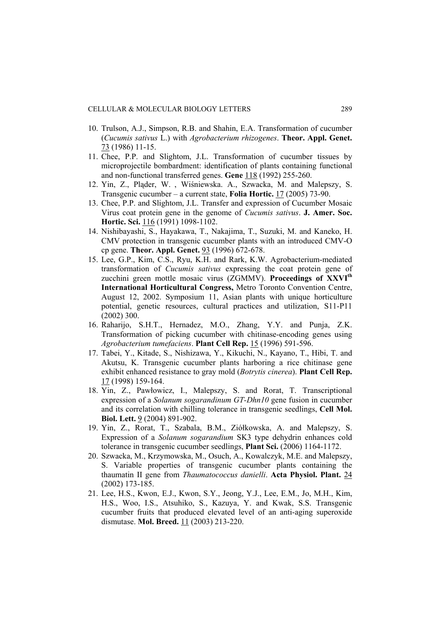- 10. Trulson, A.J., Simpson, R.B. and Shahin, E.A. Transformation of cucumber (*Cucumis sativus* L.) with *Agrobacterium rhizogenes*. **Theor. Appl. Genet.** 73 (1986) 11-15.
- 11. Chee, P.P. and Slightom, J.L. Transformation of cucumber tissues by microprojectile bombardment: identification of plants containing functional and non-functional transferred genes. **Gene** 118 (1992) 255-260.
- 12. Yin, Z., Pląder, W. , Wiśniewska. A., Szwacka, M. and Malepszy, S. Transgenic cucumber – a current state, **Folia Hortic.** 17 (2005) 73-90.
- 13. Chee, P.P. and Slightom, J.L. Transfer and expression of Cucumber Mosaic Virus coat protein gene in the genome of *Cucumis sativus*. **J. Amer. Soc. Hortic. Sci.** 116 (1991) 1098-1102.
- 14. Nishibayashi, S., Hayakawa, T., Nakajima, T., Suzuki, M. and Kaneko, H. CMV protection in transgenic cucumber plants with an introduced CMV-O cp gene. **Theor. Appl. Genet.** 93 (1996) 672-678.
- 15. Lee, G.P., Kim, C.S., Ryu, K.H. and Rark, K.W. Agrobacterium-mediated transformation of *Cucumis sativus* expressing the coat protein gene of zucchini green mottle mosaic virus (ZGMMV). **Proceedings of XXVI<sup>th</sup> International Horticultural Congress,** Metro Toronto Convention Centre, August 12, 2002. Symposium 11, Asian plants with unique horticulture potential, genetic resources, cultural practices and utilization, S11-P11 (2002) 300.
- 16. Raharijo, S.H.T., Hernadez, M.O., Zhang, Y.Y. and Punja, Z.K. Transformation of picking cucumber with chitinase-encoding genes using *Agrobacterium tumefaciens*. **Plant Cell Rep.** 15 (1996) 591-596.
- 17. Tabei, Y., Kitade, S., Nishizawa, Y., Kikuchi, N., Kayano, T., Hibi, T. and Akutsu, K. Transgenic cucumber plants harboring a rice chitinase gene exhibit enhanced resistance to gray mold (*Botrytis cinerea*). **Plant Cell Rep.** 17 (1998) 159-164.
- 18. Yin, Z., Pawłowicz, I., Malepszy, S. and Rorat, T. Transcriptional expression of a *Solanum sogarandinum GT-Dhn10* gene fusion in cucumber and its correlation with chilling tolerance in transgenic seedlings, **Cell Mol. Biol. Lett.** 9 (2004) 891-902.
- 19. Yin, Z., Rorat, T., Szabala, B.M., Ziółkowska, A. and Malepszy, S. Expression of a *Solanum sogarandium* SK3 type dehydrin enhances cold tolerance in transgenic cucumber seedlings, **Plant Sci.** (2006) 1164-1172.
- 20. Szwacka, M., Krzymowska, M., Osuch, A., Kowalczyk, M.E. and Malepszy, S. Variable properties of transgenic cucumber plants containing the thaumatin II gene from *Thaumatococcus danielli*. **Acta Physiol. Plant.** 24 (2002) 173-185.
- 21. Lee, H.S., Kwon, E.J., Kwon, S.Y., Jeong, Y.J., Lee, E.M., Jo, M.H., Kim, H.S., Woo, I.S., Atsuhiko, S., Kazuya, Y. and Kwak, S.S. Transgenic cucumber fruits that produced elevated level of an anti-aging superoxide dismutase. **Mol. Breed.** 11 (2003) 213-220.